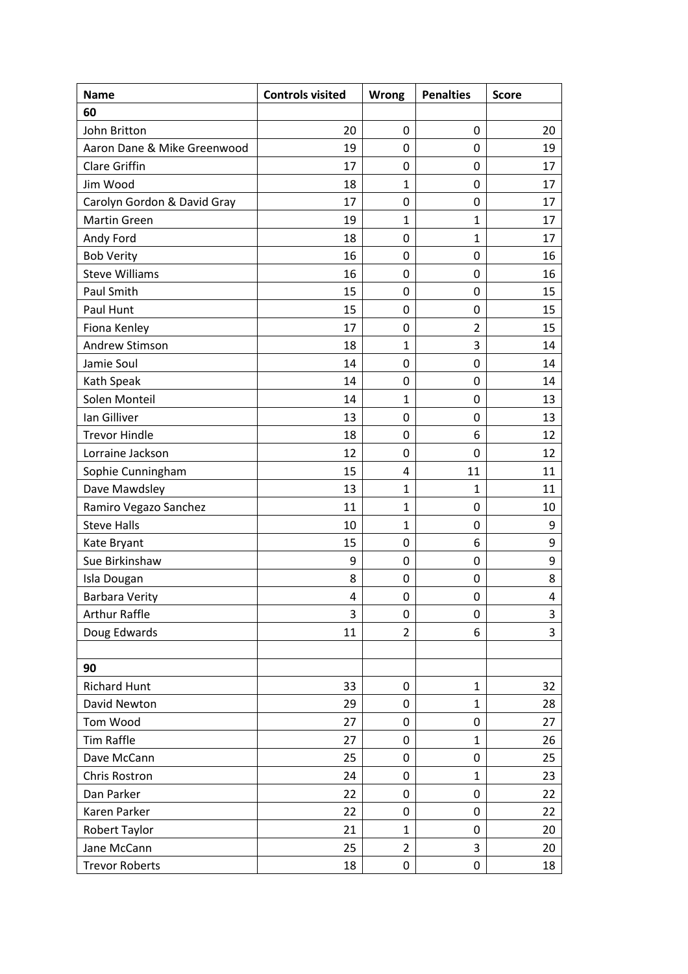| <b>Name</b>                 | <b>Controls visited</b> | <b>Wrong</b>   | <b>Penalties</b> | <b>Score</b> |
|-----------------------------|-------------------------|----------------|------------------|--------------|
| 60                          |                         |                |                  |              |
| John Britton                | 20                      | $\mathbf 0$    | $\mathbf 0$      | 20           |
| Aaron Dane & Mike Greenwood | 19                      | 0              | 0                | 19           |
| <b>Clare Griffin</b>        | 17                      | 0              | 0                | 17           |
| Jim Wood                    | 18                      | 1              | 0                | 17           |
| Carolyn Gordon & David Gray | 17                      | $\mathbf 0$    | 0                | 17           |
| <b>Martin Green</b>         | 19                      | $\mathbf{1}$   | 1                | 17           |
| Andy Ford                   | 18                      | 0              | $\mathbf{1}$     | 17           |
| <b>Bob Verity</b>           | 16                      | $\mathbf 0$    | 0                | 16           |
| <b>Steve Williams</b>       | 16                      | 0              | 0                | 16           |
| Paul Smith                  | 15                      | 0              | 0                | 15           |
| Paul Hunt                   | 15                      | $\mathbf 0$    | 0                | 15           |
| Fiona Kenley                | 17                      | 0              | $\overline{2}$   | 15           |
| Andrew Stimson              | 18                      | $\mathbf{1}$   | 3                | 14           |
| Jamie Soul                  | 14                      | $\mathbf 0$    | 0                | 14           |
| Kath Speak                  | 14                      | 0              | 0                | 14           |
| Solen Monteil               | 14                      | 1              | 0                | 13           |
| Ian Gilliver                | 13                      | 0              | 0                | 13           |
| <b>Trevor Hindle</b>        | 18                      | 0              | 6                | 12           |
| Lorraine Jackson            | 12                      | 0              | 0                | 12           |
| Sophie Cunningham           | 15                      | 4              | 11               | 11           |
| Dave Mawdsley               | 13                      | $\mathbf{1}$   | 1                | 11           |
| Ramiro Vegazo Sanchez       | 11                      | 1              | 0                | 10           |
| <b>Steve Halls</b>          | 10                      | $\mathbf{1}$   | 0                | 9            |
| Kate Bryant                 | 15                      | 0              | 6                | 9            |
| Sue Birkinshaw              | 9                       | 0              | 0                | 9            |
| Isla Dougan                 | 8                       | 0              | 0                | 8            |
| <b>Barbara Verity</b>       | 4                       | 0              | 0                | 4            |
| <b>Arthur Raffle</b>        | 3                       | $\pmb{0}$      | 0                | 3            |
| Doug Edwards                | 11                      | $\overline{2}$ | 6                | 3            |
|                             |                         |                |                  |              |
| 90                          |                         |                |                  |              |
| <b>Richard Hunt</b>         | 33                      | $\pmb{0}$      | $\mathbf{1}$     | 32           |
| David Newton                | 29                      | $\pmb{0}$      | $\mathbf{1}$     | 28           |
| Tom Wood                    | 27                      | 0              | 0                | 27           |
| <b>Tim Raffle</b>           | 27                      | 0              | $\mathbf{1}$     | 26           |
| Dave McCann                 | 25                      | 0              | 0                | 25           |
| Chris Rostron               | 24                      | 0              | 1                | 23           |
| Dan Parker                  | 22                      | 0              | 0                | 22           |
| Karen Parker                | 22                      | 0              | 0                | 22           |
| Robert Taylor               | 21                      | 1              | 0                | 20           |
| Jane McCann                 | 25                      | $\overline{2}$ | 3                | 20           |
| <b>Trevor Roberts</b>       | 18                      | 0              | 0                | 18           |